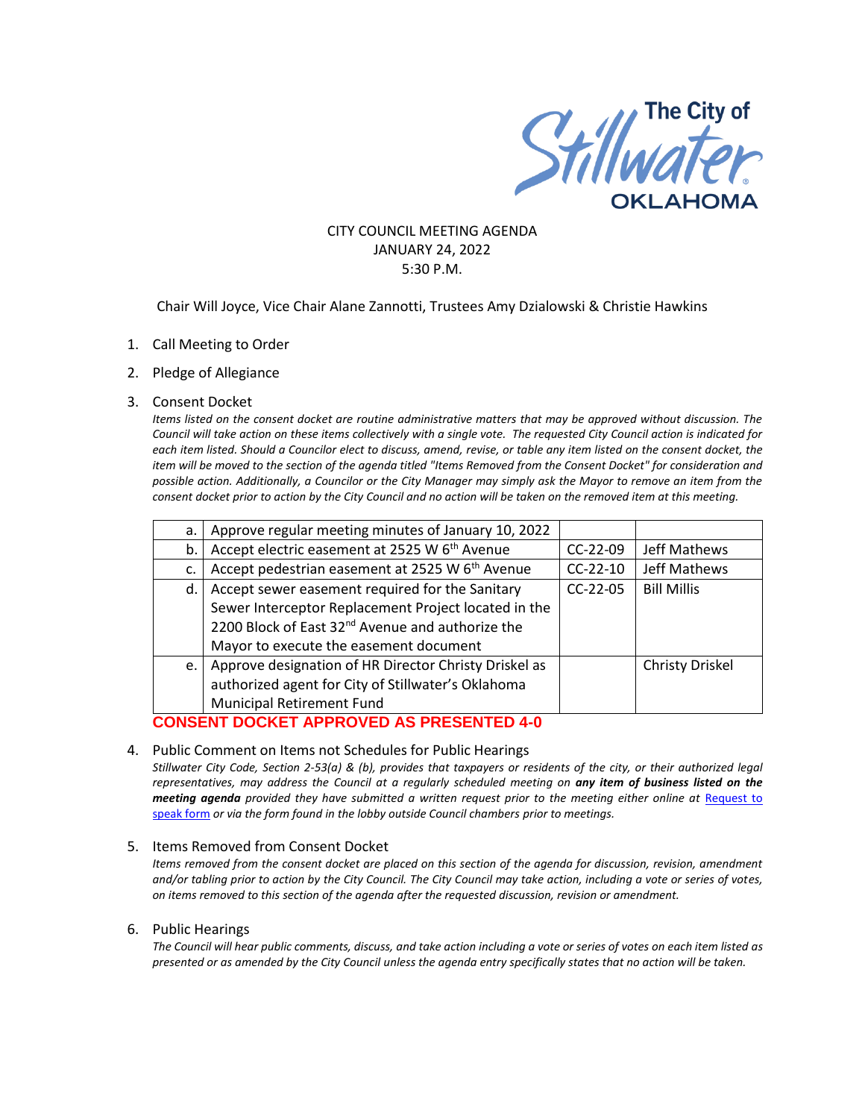

#### CITY COUNCIL MEETING AGENDA JANUARY 24, 2022 5:30 P.M.

#### Chair Will Joyce, Vice Chair Alane Zannotti, Trustees Amy Dzialowski & Christie Hawkins

- 1. Call Meeting to Order
- 2. Pledge of Allegiance

#### 3. Consent Docket

*Items listed on the consent docket are routine administrative matters that may be approved without discussion. The Council will take action on these items collectively with a single vote. The requested City Council action is indicated for each item listed. Should a Councilor elect to discuss, amend, revise, or table any item listed on the consent docket, the item will be moved to the section of the agenda titled "Items Removed from the Consent Docket" for consideration and possible action. Additionally, a Councilor or the City Manager may simply ask the Mayor to remove an item from the consent docket prior to action by the City Council and no action will be taken on the removed item at this meeting.*

| a. | Approve regular meeting minutes of January 10, 2022          |            |                    |
|----|--------------------------------------------------------------|------------|--------------------|
| b. | Accept electric easement at 2525 W 6 <sup>th</sup> Avenue    | $CC-22-09$ | Jeff Mathews       |
| c. | Accept pedestrian easement at 2525 W 6 <sup>th</sup> Avenue  | $CC-22-10$ | Jeff Mathews       |
| d. | Accept sewer easement required for the Sanitary              | $CC-22-05$ | <b>Bill Millis</b> |
|    | Sewer Interceptor Replacement Project located in the         |            |                    |
|    | 2200 Block of East 32 <sup>nd</sup> Avenue and authorize the |            |                    |
|    | Mayor to execute the easement document                       |            |                    |
| e. | Approve designation of HR Director Christy Driskel as        |            | Christy Driskel    |
|    | authorized agent for City of Stillwater's Oklahoma           |            |                    |
|    | Municipal Retirement Fund                                    |            |                    |

# **CONSENT DOCKET APPROVED AS PRESENTED 4-0**

#### 4. Public Comment on Items not Schedules for Public Hearings

*Stillwater City Code, Section 2-53(a) & (b), provides that taxpayers or residents of the city, or their authorized legal representatives, may address the Council at a regularly scheduled meeting on any item of business listed on the meeting agenda provided they have submitted a written request prior to the meeting either online at* [Request to](http://stillwater.org/page/home/government/mayor-city-council/meetings-agendas-minutes/online-request-to-speak-at-city-council)  [speak form](http://stillwater.org/page/home/government/mayor-city-council/meetings-agendas-minutes/online-request-to-speak-at-city-council) *or via the form found in the lobby outside Council chambers prior to meetings.*

#### 5. Items Removed from Consent Docket

*Items removed from the consent docket are placed on this section of the agenda for discussion, revision, amendment and/or tabling prior to action by the City Council. The City Council may take action, including a vote or series of votes, on items removed to this section of the agenda after the requested discussion, revision or amendment.*

#### 6. Public Hearings

*The Council will hear public comments, discuss, and take action including a vote or series of votes on each item listed as presented or as amended by the City Council unless the agenda entry specifically states that no action will be taken.*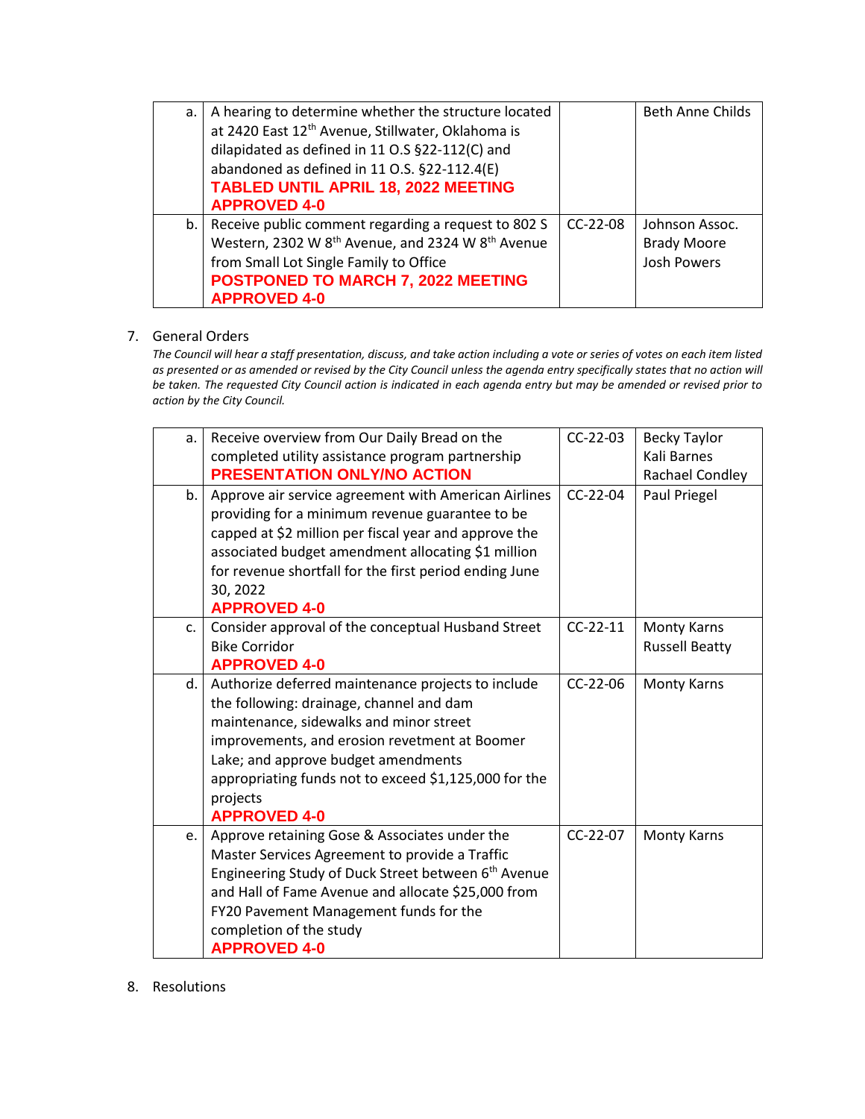| а. | A hearing to determine whether the structure located                      |            | <b>Beth Anne Childs</b> |
|----|---------------------------------------------------------------------------|------------|-------------------------|
|    | at 2420 East 12 <sup>th</sup> Avenue, Stillwater, Oklahoma is             |            |                         |
|    | dilapidated as defined in 11 O.S §22-112(C) and                           |            |                         |
|    | abandoned as defined in 11 O.S. §22-112.4(E)                              |            |                         |
|    | <b>TABLED UNTIL APRIL 18, 2022 MEETING</b>                                |            |                         |
|    | <b>APPROVED 4-0</b>                                                       |            |                         |
| b. | Receive public comment regarding a request to 802 S                       | $CC-22-08$ | Johnson Assoc.          |
|    | Western, 2302 W 8 <sup>th</sup> Avenue, and 2324 W 8 <sup>th</sup> Avenue |            | <b>Brady Moore</b>      |
|    | from Small Lot Single Family to Office                                    |            | <b>Josh Powers</b>      |
|    | POSTPONED TO MARCH 7, 2022 MEETING                                        |            |                         |
|    | <b>APPROVED 4-0</b>                                                       |            |                         |

# 7. General Orders

*The Council will hear a staff presentation, discuss, and take action including a vote or series of votes on each item listed as presented or as amended or revised by the City Council unless the agenda entry specifically states that no action will be taken. The requested City Council action is indicated in each agenda entry but may be amended or revised prior to action by the City Council.* 

| a. | Receive overview from Our Daily Bread on the                    | $CC-22-03$ | <b>Becky Taylor</b>   |
|----|-----------------------------------------------------------------|------------|-----------------------|
|    | completed utility assistance program partnership                |            | Kali Barnes           |
|    | PRESENTATION ONLY/NO ACTION                                     |            | Rachael Condley       |
| b. | Approve air service agreement with American Airlines            | $CC-22-04$ | Paul Priegel          |
|    | providing for a minimum revenue guarantee to be                 |            |                       |
|    | capped at \$2 million per fiscal year and approve the           |            |                       |
|    | associated budget amendment allocating \$1 million              |            |                       |
|    | for revenue shortfall for the first period ending June          |            |                       |
|    | 30, 2022                                                        |            |                       |
|    | <b>APPROVED 4-0</b>                                             |            |                       |
| C. | Consider approval of the conceptual Husband Street              | $CC-22-11$ | Monty Karns           |
|    | <b>Bike Corridor</b>                                            |            | <b>Russell Beatty</b> |
|    | <b>APPROVED 4-0</b>                                             |            |                       |
| d. | Authorize deferred maintenance projects to include              | $CC-22-06$ | Monty Karns           |
|    | the following: drainage, channel and dam                        |            |                       |
|    | maintenance, sidewalks and minor street                         |            |                       |
|    | improvements, and erosion revetment at Boomer                   |            |                       |
|    | Lake; and approve budget amendments                             |            |                       |
|    | appropriating funds not to exceed \$1,125,000 for the           |            |                       |
|    | projects                                                        |            |                       |
|    | <b>APPROVED 4-0</b>                                             |            |                       |
| e. | Approve retaining Gose & Associates under the                   | CC-22-07   | <b>Monty Karns</b>    |
|    | Master Services Agreement to provide a Traffic                  |            |                       |
|    | Engineering Study of Duck Street between 6 <sup>th</sup> Avenue |            |                       |
|    | and Hall of Fame Avenue and allocate \$25,000 from              |            |                       |
|    | FY20 Pavement Management funds for the                          |            |                       |
|    | completion of the study                                         |            |                       |
|    | <b>APPROVED 4-0</b>                                             |            |                       |

8. Resolutions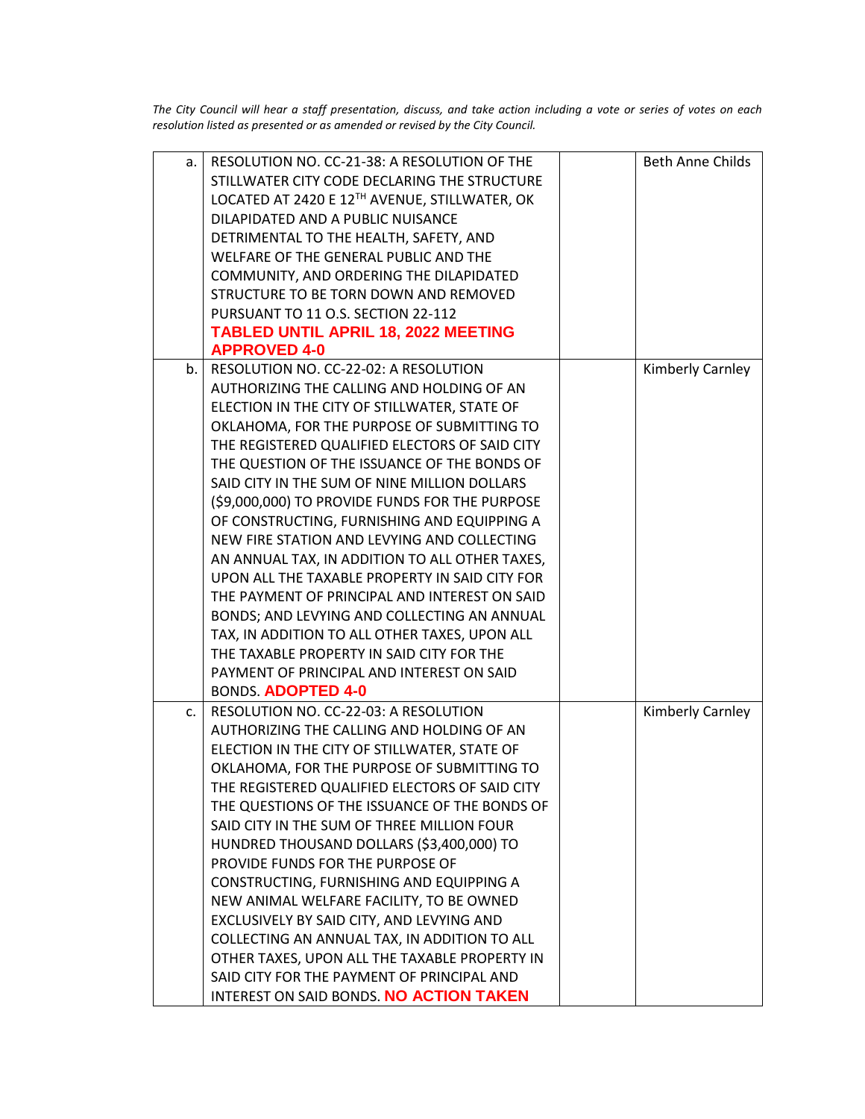*The City Council will hear a staff presentation, discuss, and take action including a vote or series of votes on each resolution listed as presented or as amended or revised by the City Council.* 

| a.             | RESOLUTION NO. CC-21-38: A RESOLUTION OF THE   | <b>Beth Anne Childs</b> |
|----------------|------------------------------------------------|-------------------------|
|                | STILLWATER CITY CODE DECLARING THE STRUCTURE   |                         |
|                | LOCATED AT 2420 E 12TH AVENUE, STILLWATER, OK  |                         |
|                | DILAPIDATED AND A PUBLIC NUISANCE              |                         |
|                | DETRIMENTAL TO THE HEALTH, SAFETY, AND         |                         |
|                | WELFARE OF THE GENERAL PUBLIC AND THE          |                         |
|                | COMMUNITY, AND ORDERING THE DILAPIDATED        |                         |
|                | STRUCTURE TO BE TORN DOWN AND REMOVED          |                         |
|                | PURSUANT TO 11 O.S. SECTION 22-112             |                         |
|                | <b>TABLED UNTIL APRIL 18, 2022 MEETING</b>     |                         |
|                | <b>APPROVED 4-0</b>                            |                         |
| b.             | RESOLUTION NO. CC-22-02: A RESOLUTION          | Kimberly Carnley        |
|                | AUTHORIZING THE CALLING AND HOLDING OF AN      |                         |
|                | ELECTION IN THE CITY OF STILLWATER, STATE OF   |                         |
|                | OKLAHOMA, FOR THE PURPOSE OF SUBMITTING TO     |                         |
|                | THE REGISTERED QUALIFIED ELECTORS OF SAID CITY |                         |
|                | THE QUESTION OF THE ISSUANCE OF THE BONDS OF   |                         |
|                | SAID CITY IN THE SUM OF NINE MILLION DOLLARS   |                         |
|                | (\$9,000,000) TO PROVIDE FUNDS FOR THE PURPOSE |                         |
|                | OF CONSTRUCTING, FURNISHING AND EQUIPPING A    |                         |
|                | NEW FIRE STATION AND LEVYING AND COLLECTING    |                         |
|                | AN ANNUAL TAX, IN ADDITION TO ALL OTHER TAXES, |                         |
|                | UPON ALL THE TAXABLE PROPERTY IN SAID CITY FOR |                         |
|                | THE PAYMENT OF PRINCIPAL AND INTEREST ON SAID  |                         |
|                | BONDS; AND LEVYING AND COLLECTING AN ANNUAL    |                         |
|                | TAX, IN ADDITION TO ALL OTHER TAXES, UPON ALL  |                         |
|                | THE TAXABLE PROPERTY IN SAID CITY FOR THE      |                         |
|                | PAYMENT OF PRINCIPAL AND INTEREST ON SAID      |                         |
|                | BONDS. ADOPTED 4-0                             |                         |
| C <sub>1</sub> | RESOLUTION NO. CC-22-03: A RESOLUTION          | Kimberly Carnley        |
|                | AUTHORIZING THE CALLING AND HOLDING OF AN      |                         |
|                | ELECTION IN THE CITY OF STILLWATER, STATE OF   |                         |
|                | OKLAHOMA, FOR THE PURPOSE OF SUBMITTING TO     |                         |
|                | THE REGISTERED QUALIFIED ELECTORS OF SAID CITY |                         |
|                | THE QUESTIONS OF THE ISSUANCE OF THE BONDS OF  |                         |
|                | SAID CITY IN THE SUM OF THREE MILLION FOUR     |                         |
|                | HUNDRED THOUSAND DOLLARS (\$3,400,000) TO      |                         |
|                | PROVIDE FUNDS FOR THE PURPOSE OF               |                         |
|                | CONSTRUCTING, FURNISHING AND EQUIPPING A       |                         |
|                | NEW ANIMAL WELFARE FACILITY, TO BE OWNED       |                         |
|                | EXCLUSIVELY BY SAID CITY, AND LEVYING AND      |                         |
|                | COLLECTING AN ANNUAL TAX, IN ADDITION TO ALL   |                         |
|                | OTHER TAXES, UPON ALL THE TAXABLE PROPERTY IN  |                         |
|                | SAID CITY FOR THE PAYMENT OF PRINCIPAL AND     |                         |
|                | INTEREST ON SAID BONDS. NO ACTION TAKEN        |                         |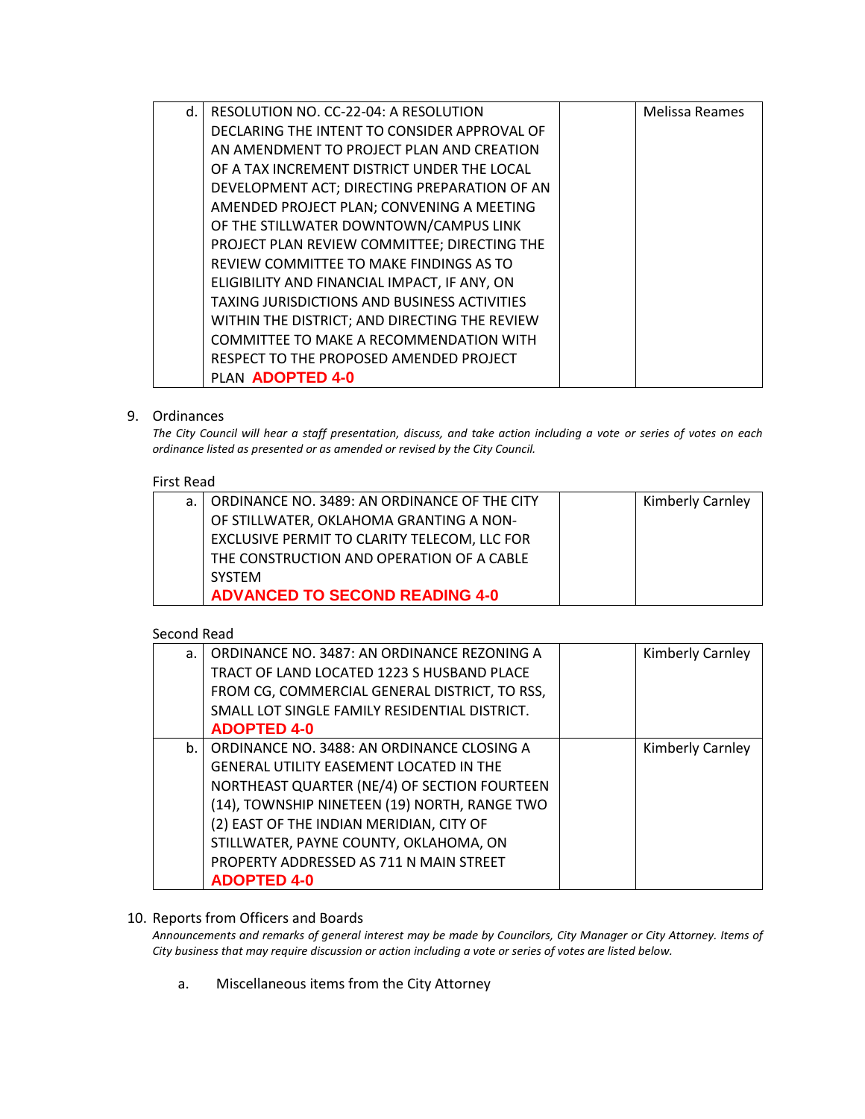| d. | RESOLUTION NO. CC-22-04: A RESOLUTION               | <b>Melissa Reames</b> |
|----|-----------------------------------------------------|-----------------------|
|    | DECLARING THE INTENT TO CONSIDER APPROVAL OF        |                       |
|    | AN AMENDMENT TO PROJECT PLAN AND CREATION           |                       |
|    | OF A TAX INCREMENT DISTRICT UNDER THE LOCAL         |                       |
|    | DEVELOPMENT ACT; DIRECTING PREPARATION OF AN        |                       |
|    | AMENDED PROJECT PLAN; CONVENING A MEETING           |                       |
|    | OF THE STILLWATER DOWNTOWN/CAMPUS LINK              |                       |
|    | PROJECT PLAN REVIEW COMMITTEE; DIRECTING THE        |                       |
|    | REVIEW COMMITTEE TO MAKE FINDINGS AS TO             |                       |
|    | ELIGIBILITY AND FINANCIAL IMPACT, IF ANY, ON        |                       |
|    | <b>TAXING JURISDICTIONS AND BUSINESS ACTIVITIES</b> |                       |
|    | WITHIN THE DISTRICT; AND DIRECTING THE REVIEW       |                       |
|    | COMMITTEE TO MAKE A RECOMMENDATION WITH             |                       |
|    | RESPECT TO THE PROPOSED AMENDED PROJECT             |                       |
|    | PLAN <b>ADOPTED 4-0</b>                             |                       |

# 9. Ordinances

*The City Council will hear a staff presentation, discuss, and take action including a vote or series of votes on each ordinance listed as presented or as amended or revised by the City Council.*

#### First Read

| a.   ORDINANCE NO. 3489: AN ORDINANCE OF THE CITY | <b>Kimberly Carnley</b> |
|---------------------------------------------------|-------------------------|
| OF STILLWATER, OKLAHOMA GRANTING A NON-           |                         |
| EXCLUSIVE PERMIT TO CLARITY TELECOM, LLC FOR      |                         |
| THE CONSTRUCTION AND OPERATION OF A CABLE         |                         |
| <b>SYSTEM</b>                                     |                         |
| <b>ADVANCED TO SECOND READING 4-0</b>             |                         |

# Second Read

| $a$ . | ORDINANCE NO. 3487: AN ORDINANCE REZONING A    | Kimberly Carnley |
|-------|------------------------------------------------|------------------|
|       | TRACT OF LAND LOCATED 1223 S HUSBAND PLACE     |                  |
|       | FROM CG, COMMERCIAL GENERAL DISTRICT, TO RSS,  |                  |
|       | SMALL LOT SINGLE FAMILY RESIDENTIAL DISTRICT.  |                  |
|       | <b>ADOPTED 4-0</b>                             |                  |
| b.    | ORDINANCE NO. 3488: AN ORDINANCE CLOSING A     | Kimberly Carnley |
|       | <b>GENERAL UTILITY EASEMENT LOCATED IN THE</b> |                  |
|       | NORTHEAST QUARTER (NE/4) OF SECTION FOURTEEN   |                  |
|       | (14), TOWNSHIP NINETEEN (19) NORTH, RANGE TWO  |                  |
|       | (2) EAST OF THE INDIAN MERIDIAN, CITY OF       |                  |
|       | STILLWATER, PAYNE COUNTY, OKLAHOMA, ON         |                  |
|       | PROPERTY ADDRESSED AS 711 N MAIN STREET        |                  |
|       | <b>ADOPTED 4-0</b>                             |                  |

# 10. Reports from Officers and Boards

*Announcements and remarks of general interest may be made by Councilors, City Manager or City Attorney. Items of City business that may require discussion or action including a vote or series of votes are listed below.*

a. Miscellaneous items from the City Attorney